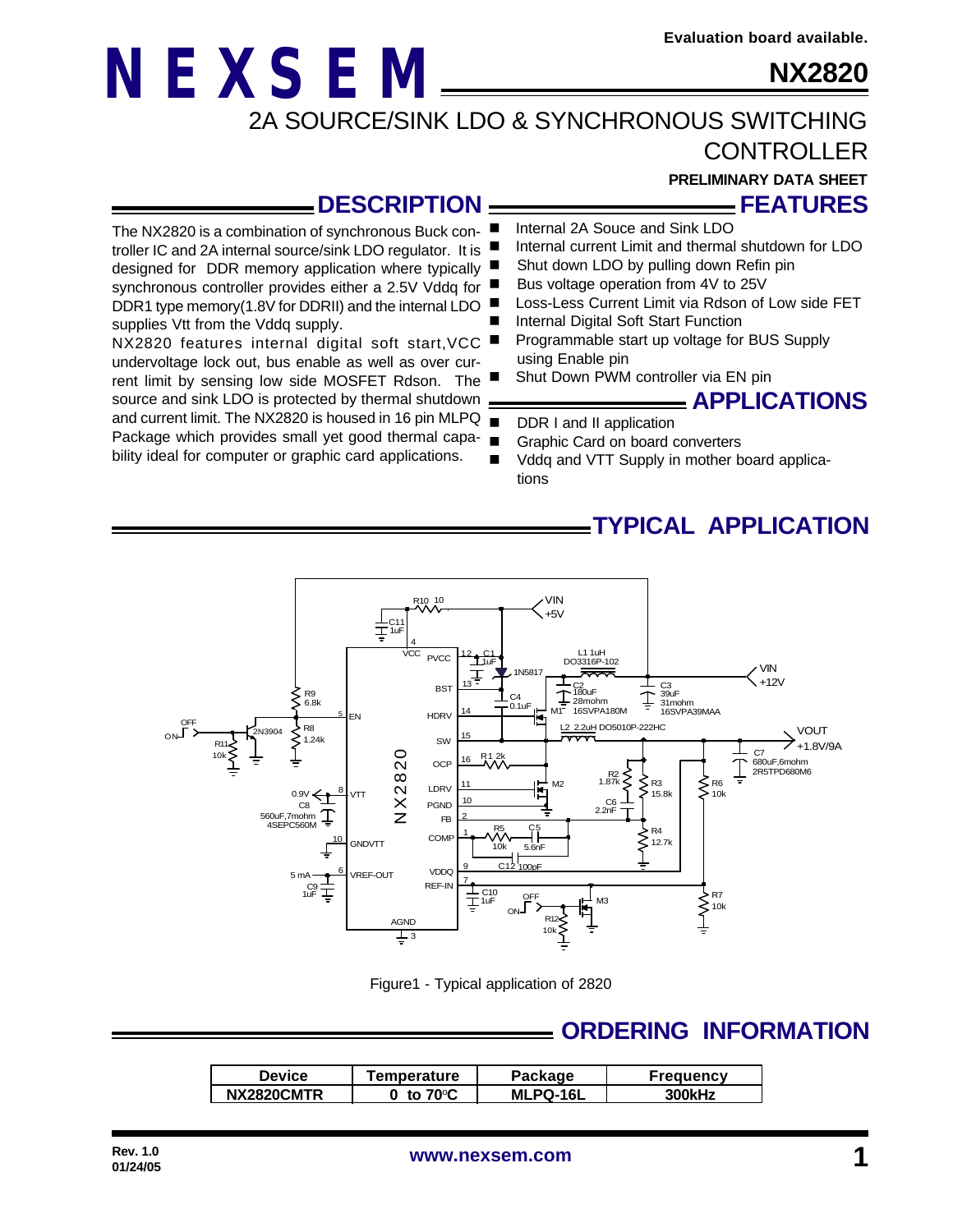### **NX2820**

2A SOURCE/SINK LDO & SYNCHRONOUS SWITCHING

**CONTROLLER** 

**FEATURES**

**PRELIMINARY DATA SHEET**

### **DESCRIPTION**

**NEXSEM**

The NX2820 is a combination of synchronous Buck controller IC and 2A internal source/sink LDO regulator. It is designed for DDR memory application where typically synchronous controller provides either a 2.5V Vddq for

NX2820 features internal digital soft start,VCC undervoltage lock out, bus enable as well as over current limit by sensing low side MOSFET Rdson. The source and sink LDO is protected by thermal shutdown .

bility ideal for computer or graphic card applications.

supplies Vtt from the Vddq supply.

- Internal 2A Souce and Sink LDO
- $\blacksquare$  Internal current Limit and thermal shutdown for LDO
	- Shut down LDO by pulling down Refin pin
- Bus voltage operation from 4V to 25V
- DDR1 type memory(1.8V for DDRII) and the internal LDO Loss-Less Current Limit via Rdson of Low side FET
	- Internal Digital Soft Start Function
	- Programmable start up voltage for BUS Supply using Enable pin
	- Shut Down PWM controller via EN pin

### **APPLICATIONS**

- and current limit. The NX2820 is housed in 16 pin MLPQ DDR I and II application
- Package which provides small yet good thermal capa-Graphic Card on board converters
	- Vddq and VTT Supply in mother board applications

### **TYPICAL APPLICATION**



Figure1 - Typical application of 2820

### **ORDERING INFORMATION**

| Device     | Temperature       | Package  | <b>Frequency</b> |
|------------|-------------------|----------|------------------|
| NX2820CMTR | <b>ი ±ი 70</b> ∘C | MLPQ-16L | <b>300kHz</b>    |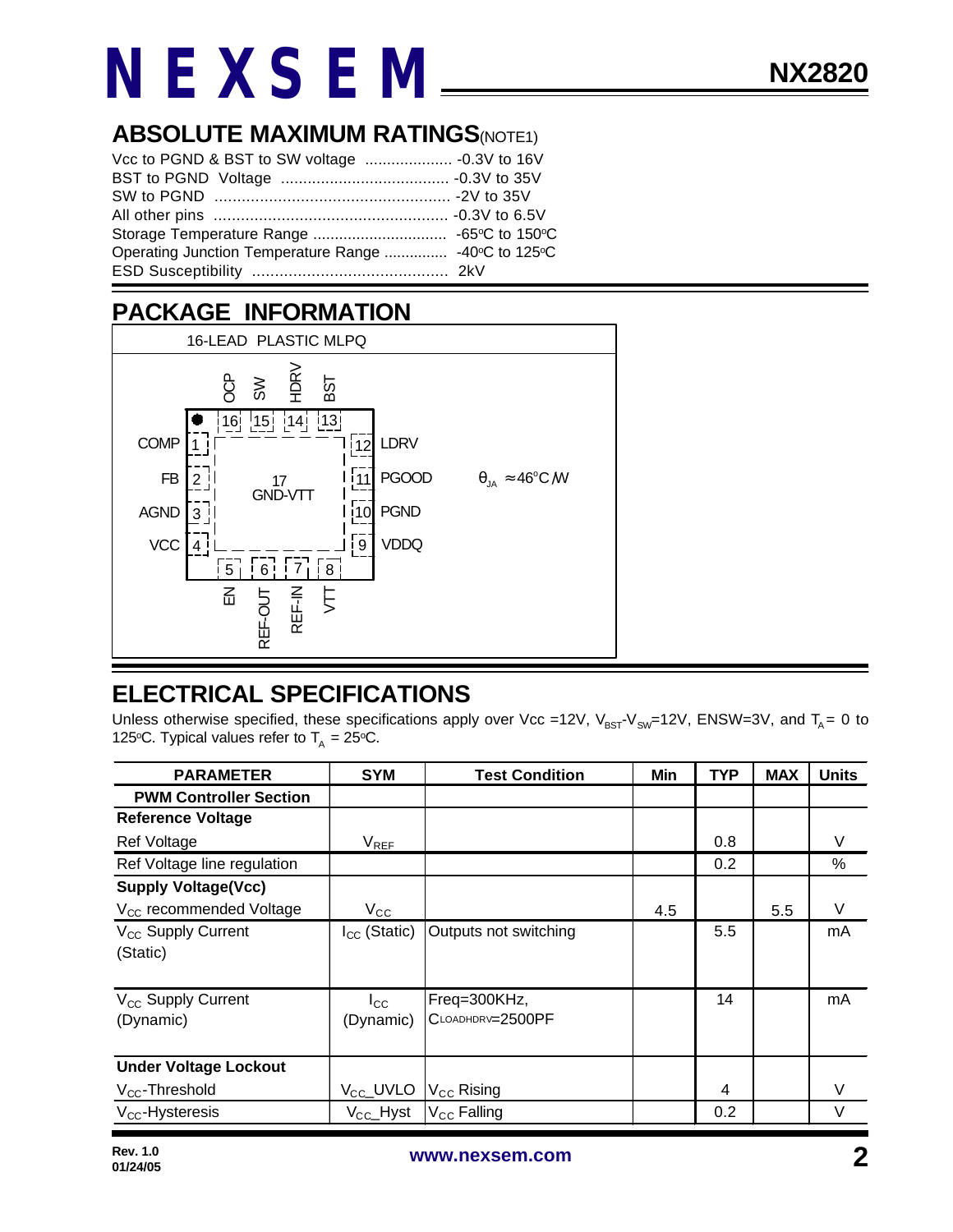### **ABSOLUTE MAXIMUM RATINGS(NOTE1)**

| Operating Junction Temperature Range  -40℃ to 125℃ |  |
|----------------------------------------------------|--|
|                                                    |  |

### **PACKAGE INFORMATION**



### **ELECTRICAL SPECIFICATIONS**

Unless otherwise specified, these specifications apply over Vcc =12V,  $V_{BST}V_{SW}=12V$ , ENSW=3V, and T<sub>A</sub> = 0 to 125°C. Typical values refer to  $T_A = 25$ °C.

| <b>PARAMETER</b>                            | <b>SYM</b>                | <b>Test Condition</b>            | Min | <b>TYP</b> | <b>MAX</b> | <b>Units</b> |
|---------------------------------------------|---------------------------|----------------------------------|-----|------------|------------|--------------|
| <b>PWM Controller Section</b>               |                           |                                  |     |            |            |              |
| <b>Reference Voltage</b>                    |                           |                                  |     |            |            |              |
| <b>Ref Voltage</b>                          | $V_{REF}$                 |                                  |     | 0.8        |            | V            |
| Ref Voltage line regulation                 |                           |                                  |     | 0.2        |            | %            |
| <b>Supply Voltage(Vcc)</b>                  |                           |                                  |     |            |            |              |
| V <sub>CC</sub> recommended Voltage         | $V_{\rm CC}$              |                                  | 4.5 |            | 5.5        | V            |
| V <sub>CC</sub> Supply Current<br>(Static)  | $I_{CC}$ (Static)         | Outputs not switching            |     | 5.5        |            | mA           |
| V <sub>CC</sub> Supply Current<br>(Dynamic) | $I_{\rm CC}$<br>(Dynamic) | Freq=300KHz,<br>CLOADHDRV=2500PF |     | 14         |            | mA           |
| <b>Under Voltage Lockout</b>                |                           |                                  |     |            |            |              |
| $V_{CC}$ -Threshold                         | V <sub>CC</sub> _UVLO     | $V_{\text{CC}}$ Rising           |     | 4          |            | V            |
| $V_{CC}$ -Hysteresis                        | $V_{\text{CC}}$ Hyst      | V <sub>CC</sub> Falling          |     | 0.2        |            | $\vee$       |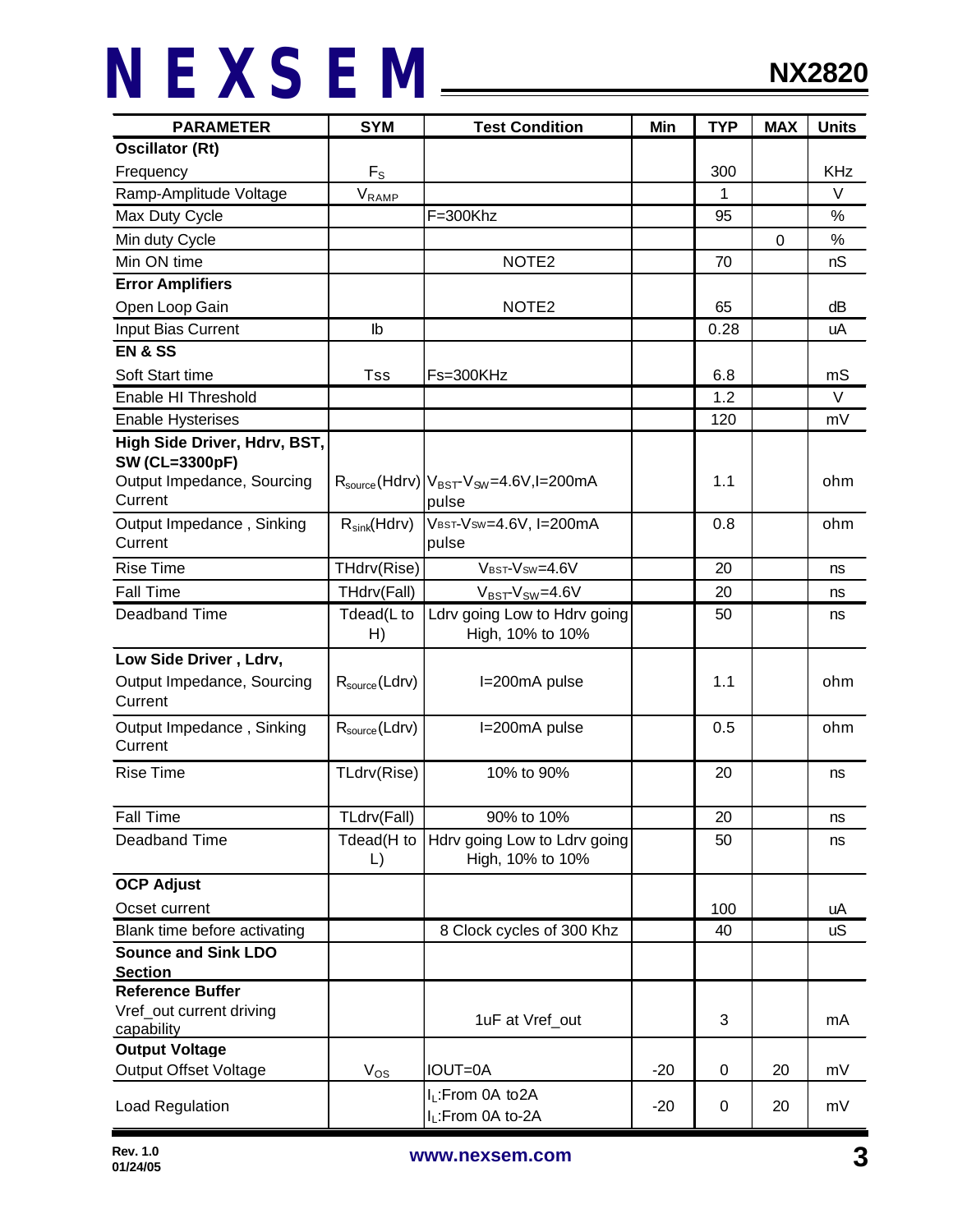| <b>PARAMETER</b>                                          | <b>SYM</b>                | <b>Test Condition</b>                                               | Min   | <b>TYP</b> | <b>MAX</b>  | <b>Units</b> |
|-----------------------------------------------------------|---------------------------|---------------------------------------------------------------------|-------|------------|-------------|--------------|
| <b>Oscillator (Rt)</b>                                    |                           |                                                                     |       |            |             |              |
| Frequency                                                 | $F_{S}$                   |                                                                     |       | 300        |             | <b>KHz</b>   |
| Ramp-Amplitude Voltage<br>$V_{RAMP}$                      |                           |                                                                     | 1     |            | $\vee$      |              |
| Max Duty Cycle                                            |                           | $F = 300$ Khz                                                       |       | 95         |             | %            |
| Min duty Cycle                                            |                           |                                                                     |       |            | $\mathbf 0$ | $\%$         |
| Min ON time                                               |                           | NOTE <sub>2</sub>                                                   |       | 70         |             | nS           |
| <b>Error Amplifiers</b>                                   |                           |                                                                     |       |            |             |              |
| Open Loop Gain                                            |                           | NOTE <sub>2</sub>                                                   |       | 65         |             | dB           |
| Input Bias Current                                        | lb                        |                                                                     |       | 0.28       |             | uA           |
| <b>EN &amp; SS</b>                                        |                           |                                                                     |       |            |             |              |
| Soft Start time                                           | Tss                       | Fs=300KHz                                                           |       | 6.8        |             | mS           |
| Enable HI Threshold                                       |                           |                                                                     |       | 1.2        |             | $\vee$       |
| <b>Enable Hysterises</b>                                  |                           |                                                                     |       | 120        |             | mV           |
| High Side Driver, Hdrv, BST,                              |                           |                                                                     |       |            |             |              |
| <b>SW (CL=3300pF)</b>                                     |                           |                                                                     |       |            |             |              |
| Output Impedance, Sourcing                                |                           | $R_{\text{source}}(Hdrv) V_{\text{BST}}V_{\text{SW}}=4.6V, I=200mA$ |       | 1.1        |             | ohm          |
| Current                                                   |                           | pulse                                                               |       |            |             |              |
| Output Impedance, Sinking                                 | $R_{sink}(Hdrv)$          | VBST-VSW=4.6V, I=200mA                                              |       | 0.8        |             | ohm          |
| Current                                                   |                           | pulse                                                               |       |            |             |              |
| <b>Rise Time</b>                                          | THdrv(Rise)               | VBST-VSW=4.6V                                                       |       | 20         |             | ns           |
| <b>Fall Time</b>                                          | THdrv(Fall)               | $V_{BST}$ - $V_{SW}$ =4.6V                                          |       | 20         |             | ns           |
| Deadband Time                                             | Tdead(L to                | Ldrv going Low to Hdrv going                                        |       | 50         |             | ns           |
|                                                           | H)                        | High, 10% to 10%                                                    |       |            |             |              |
| Low Side Driver, Ldrv,                                    |                           |                                                                     |       |            |             |              |
| Output Impedance, Sourcing                                | $R_{source}$ (Ldrv)       | I=200mA pulse                                                       |       | 1.1        |             | ohm          |
| Current                                                   |                           |                                                                     |       |            |             |              |
| Output Impedance, Sinking                                 | $R_{\text{source}}(Ldrv)$ | I=200mA pulse                                                       |       | 0.5        |             | ohm          |
| Current                                                   |                           |                                                                     |       |            |             |              |
| <b>Rise Time</b>                                          | TLdrv(Rise)               | 10% to 90%                                                          |       | 20         |             | ns           |
|                                                           |                           |                                                                     |       |            |             |              |
| <b>Fall Time</b>                                          | TLdrv(Fall)               | 90% to 10%                                                          |       | 20         |             | ns           |
| Deadband Time                                             | Tdead(H to                | Hdrv going Low to Ldrv going                                        |       | 50         |             | ns           |
|                                                           | $\mathsf{L}$              | High, 10% to 10%                                                    |       |            |             |              |
| <b>OCP Adjust</b>                                         |                           |                                                                     |       |            |             |              |
| Ocset current                                             |                           |                                                                     |       | 100        |             | uA           |
| 8 Clock cycles of 300 Khz<br>Blank time before activating |                           |                                                                     | 40    |            | <b>uS</b>   |              |
| <b>Sounce and Sink LDO</b>                                |                           |                                                                     |       |            |             |              |
| <b>Section</b><br><b>Reference Buffer</b>                 |                           |                                                                     |       |            |             |              |
| Vref_out current driving                                  |                           |                                                                     |       |            |             |              |
| capability                                                |                           | 1uF at Vref_out                                                     |       | 3          |             | mA           |
| <b>Output Voltage</b>                                     |                           |                                                                     |       |            |             |              |
| <b>Output Offset Voltage</b>                              | $V_{OS}$                  | <b>IOUT=0A</b>                                                      | $-20$ | 0          | 20          | mV           |
|                                                           |                           | I <sub>L</sub> :From 0A to2A                                        |       |            |             |              |
| Load Regulation                                           |                           | I <sub>L</sub> :From 0A to-2A                                       | $-20$ | 0          | 20          | mV           |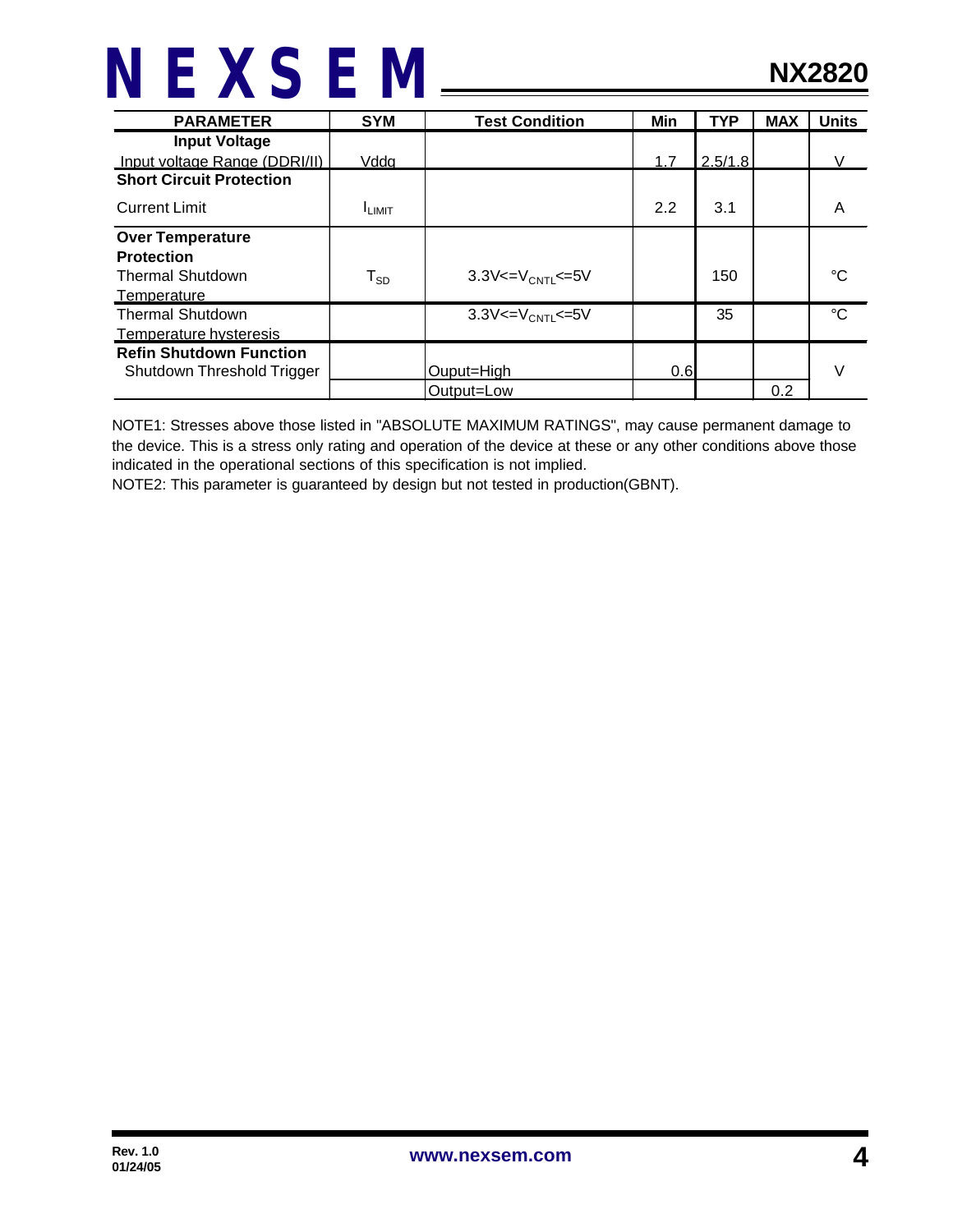| <b>PARAMETER</b>                | <b>SYM</b>              | <b>Test Condition</b>                | Min | <b>TYP</b> | <b>MAX</b> | <b>Units</b> |
|---------------------------------|-------------------------|--------------------------------------|-----|------------|------------|--------------|
| <b>Input Voltage</b>            |                         |                                      |     |            |            |              |
| Input voltage Range (DDRI/II)   | Vddg                    |                                      | 1.7 | 2.5/1.8    |            | V            |
| <b>Short Circuit Protection</b> |                         |                                      |     |            |            |              |
| <b>Current Limit</b>            | <b>ILIMIT</b>           |                                      | 2.2 | 3.1        |            | A            |
| <b>Over Temperature</b>         |                         |                                      |     |            |            |              |
| <b>Protection</b>               |                         |                                      |     |            |            |              |
| <b>Thermal Shutdown</b>         | ${\sf T}_{\texttt{SD}}$ | 3.3V $\lt = V_{\text{CNT}} \lt = 5V$ |     | 150        |            | °C           |
| Temperature                     |                         |                                      |     |            |            |              |
| <b>Thermal Shutdown</b>         |                         | $3.3V < = V_{CNT} \le 5V$            |     | 35         |            | $^{\circ}C$  |
| Temperature hysteresis          |                         |                                      |     |            |            |              |
| <b>Refin Shutdown Function</b>  |                         |                                      |     |            |            |              |
| Shutdown Threshold Trigger      |                         | Ouput=High                           | 0.6 |            |            | V            |
|                                 |                         | Output=Low                           |     |            | 0.2        |              |

NOTE1: Stresses above those listed in "ABSOLUTE MAXIMUM RATINGS", may cause permanent damage to the device. This is a stress only rating and operation of the device at these or any other conditions above those indicated in the operational sections of this specification is not implied.

NOTE2: This parameter is guaranteed by design but not tested in production(GBNT).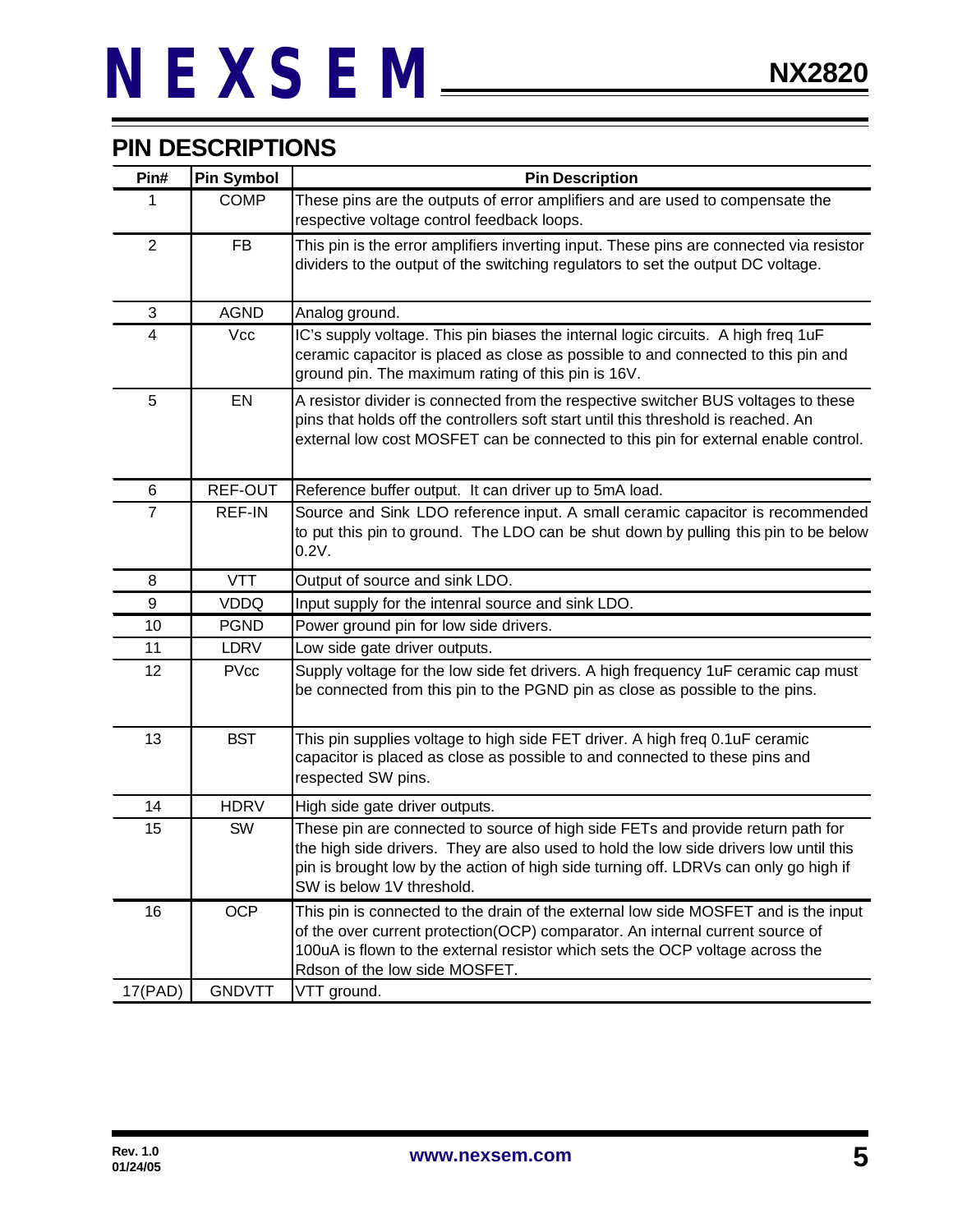### **PIN DESCRIPTIONS**

| Pin#           | <b>Pin Symbol</b> | <b>Pin Description</b>                                                                                                                                                                                                                                                                        |  |  |
|----------------|-------------------|-----------------------------------------------------------------------------------------------------------------------------------------------------------------------------------------------------------------------------------------------------------------------------------------------|--|--|
| 1              | <b>COMP</b>       | These pins are the outputs of error amplifiers and are used to compensate the<br>respective voltage control feedback loops.                                                                                                                                                                   |  |  |
| $\overline{2}$ | <b>FB</b>         | This pin is the error amplifiers inverting input. These pins are connected via resistor<br>dividers to the output of the switching regulators to set the output DC voltage.                                                                                                                   |  |  |
| 3              | <b>AGND</b>       | Analog ground.                                                                                                                                                                                                                                                                                |  |  |
| 4              | <b>Vcc</b>        | IC's supply voltage. This pin biases the internal logic circuits. A high freq 1uF<br>ceramic capacitor is placed as close as possible to and connected to this pin and<br>ground pin. The maximum rating of this pin is 16V.                                                                  |  |  |
| 5              | EN                | A resistor divider is connected from the respective switcher BUS voltages to these<br>pins that holds off the controllers soft start until this threshold is reached. An<br>external low cost MOSFET can be connected to this pin for external enable control.                                |  |  |
| 6              | REF-OUT           | Reference buffer output. It can driver up to 5mA load.                                                                                                                                                                                                                                        |  |  |
| $\overline{7}$ | REF-IN            | Source and Sink LDO reference input. A small ceramic capacitor is recommended<br>to put this pin to ground. The LDO can be shut down by pulling this pin to be below<br>0.2V.                                                                                                                 |  |  |
| 8              | <b>VTT</b>        | Output of source and sink LDO.                                                                                                                                                                                                                                                                |  |  |
| 9              | <b>VDDQ</b>       | Input supply for the intenral source and sink LDO.                                                                                                                                                                                                                                            |  |  |
| 10             | <b>PGND</b>       | Power ground pin for low side drivers.                                                                                                                                                                                                                                                        |  |  |
| 11             | <b>LDRV</b>       | Low side gate driver outputs.                                                                                                                                                                                                                                                                 |  |  |
| 12             | <b>PVcc</b>       | Supply voltage for the low side fet drivers. A high frequency 1uF ceramic cap must<br>be connected from this pin to the PGND pin as close as possible to the pins.                                                                                                                            |  |  |
| 13             | <b>BST</b>        | This pin supplies voltage to high side FET driver. A high freq 0.1uF ceramic<br>capacitor is placed as close as possible to and connected to these pins and<br>respected SW pins.                                                                                                             |  |  |
| 14             | <b>HDRV</b>       | High side gate driver outputs.                                                                                                                                                                                                                                                                |  |  |
| 15             | SW                | These pin are connected to source of high side FETs and provide return path for<br>the high side drivers. They are also used to hold the low side drivers low until this<br>pin is brought low by the action of high side turning off. LDRVs can only go high if<br>SW is below 1V threshold. |  |  |
| 16             | <b>OCP</b>        | This pin is connected to the drain of the external low side MOSFET and is the input<br>of the over current protection(OCP) comparator. An internal current source of<br>100uA is flown to the external resistor which sets the OCP voltage across the<br>Rdson of the low side MOSFET.        |  |  |
| 17(PAD)        | <b>GNDVTT</b>     | VTT ground.                                                                                                                                                                                                                                                                                   |  |  |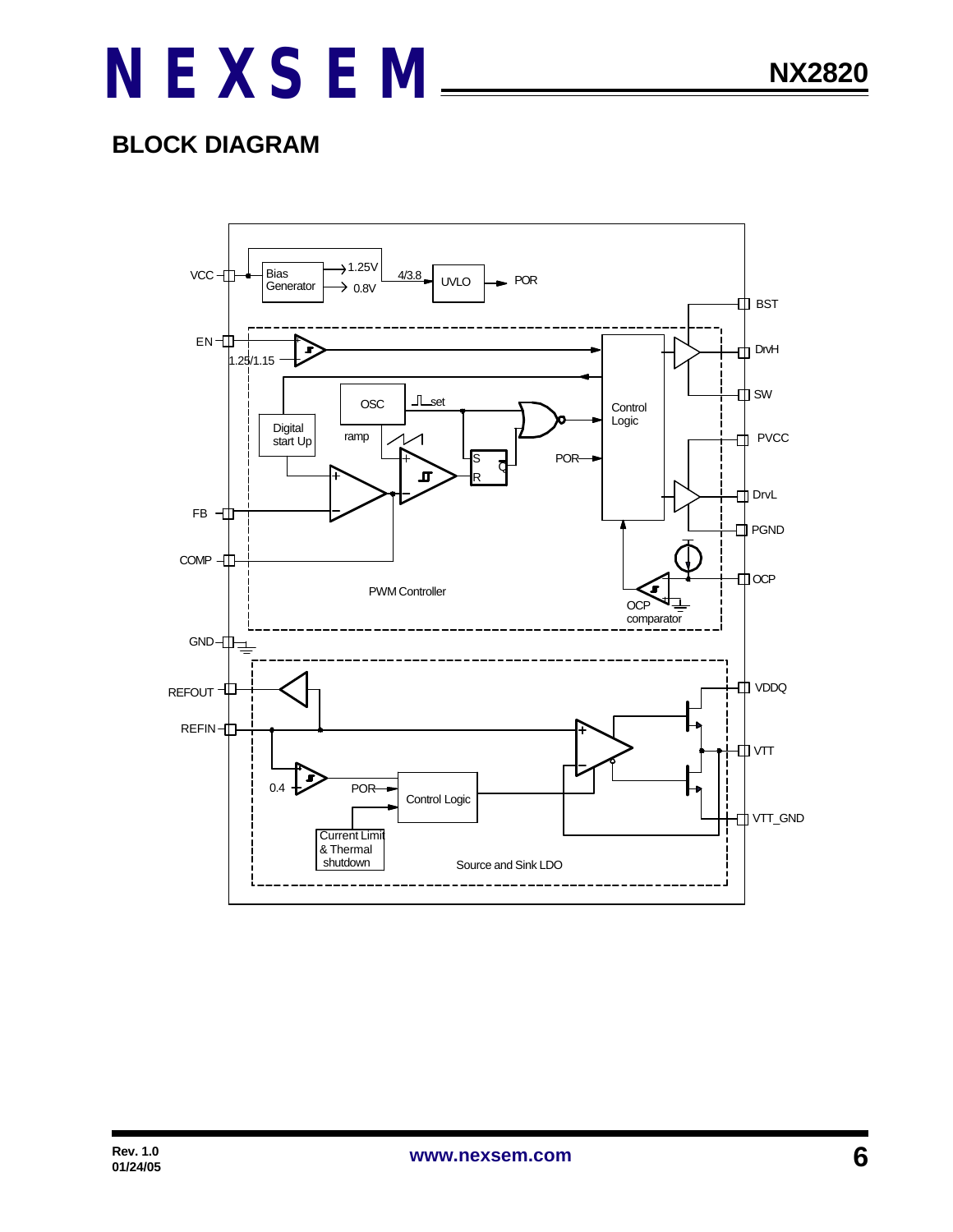### **BLOCK DIAGRAM**

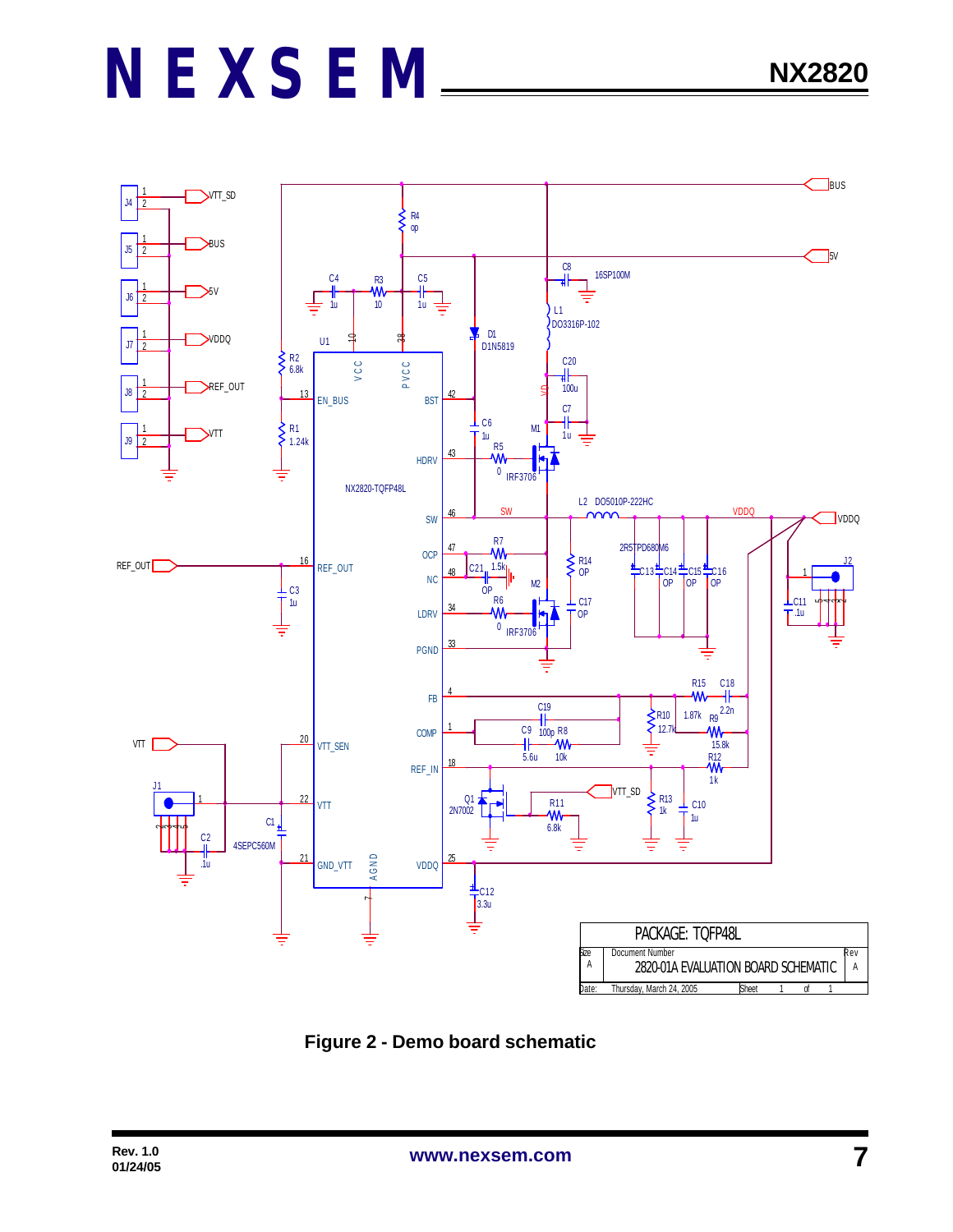

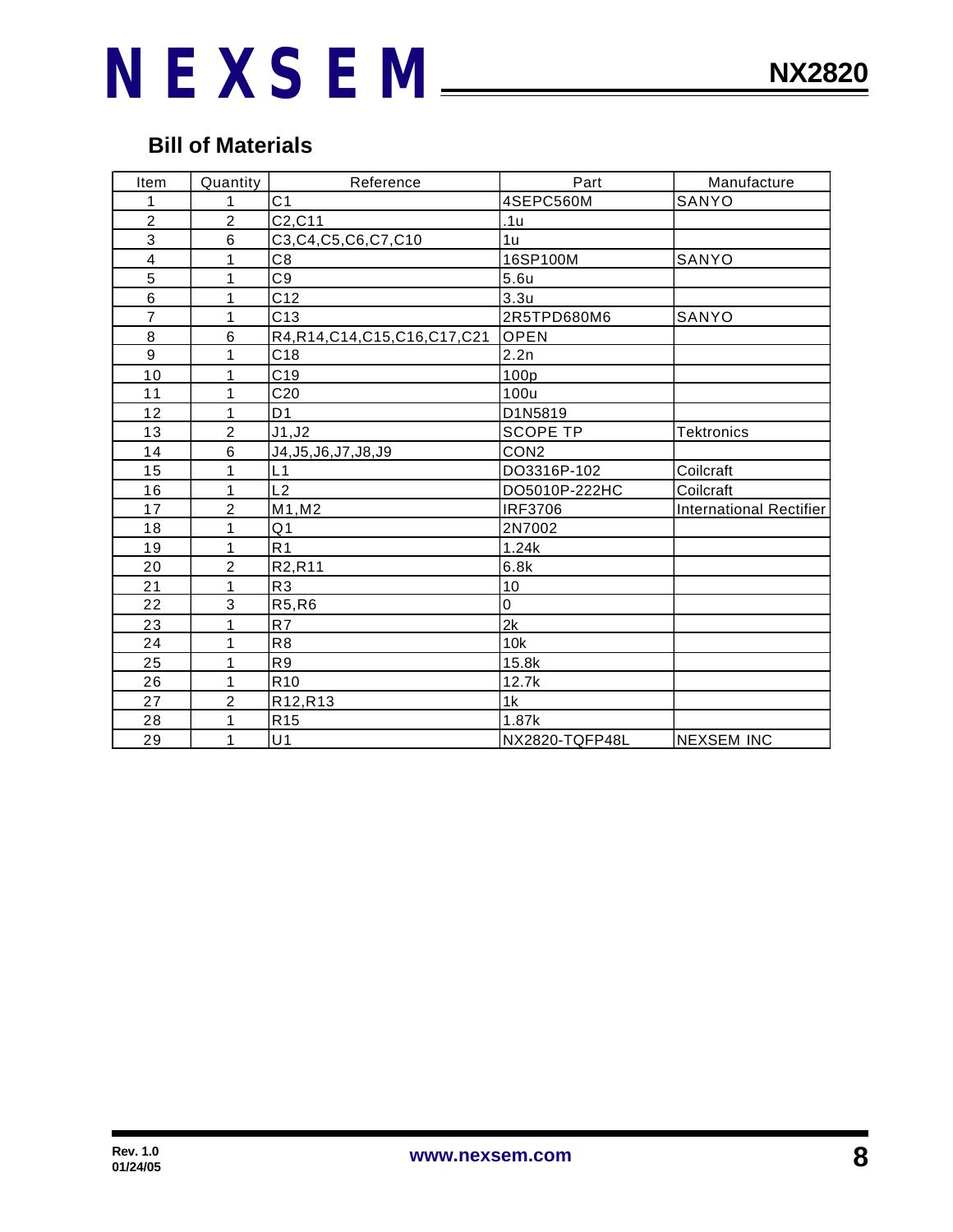### **Bill of Materials**

| Item                    | Quantity       | Reference                        | Part             | Manufacture                    |
|-------------------------|----------------|----------------------------------|------------------|--------------------------------|
| 1                       | 1              | C <sub>1</sub>                   | 4SEPC560M        | SANYO                          |
| $\overline{\mathbf{c}}$ | $\overline{2}$ | C2, C11                          | .1u              |                                |
| 3                       | $6\phantom{1}$ | C3, C4, C5, C6, C7, C10          | 1u               |                                |
| $\overline{\mathbf{4}}$ | 1              | C <sub>8</sub>                   | 16SP100M         | SANYO                          |
| 5                       | 1              | C <sub>9</sub>                   | 5.6u             |                                |
| 6                       | 1              | C <sub>12</sub>                  | 3.3 <sub>u</sub> |                                |
| $\overline{7}$          | $\mathbf{1}$   | C13                              | 2R5TPD680M6      | SANYO                          |
| 8                       | 6              | R4, R14, C14, C15, C16, C17, C21 | <b>OPEN</b>      |                                |
| 9                       | 1              | C18                              | 2.2n             |                                |
| 10                      | 1              | C <sub>19</sub>                  | 100p             |                                |
| 11                      | 1              | C <sub>20</sub>                  | 100u             |                                |
| 12                      | 1              | D <sub>1</sub>                   | D1N5819          |                                |
| 13                      | $\overline{2}$ | J1, J2                           | <b>SCOPE TP</b>  | <b>Tektronics</b>              |
| 14                      | 6              | J4, J5, J6, J7, J8, J9           | CON <sub>2</sub> |                                |
| 15                      | 1              | L1                               | DO3316P-102      | Coilcraft                      |
| 16                      | 1              | L2                               | DO5010P-222HC    | Coilcraft                      |
| 17                      | $\overline{2}$ | M1, M2                           | <b>IRF3706</b>   | <b>International Rectifier</b> |
| 18                      | 1              | Q <sub>1</sub>                   | 2N7002           |                                |
| 19                      | $\mathbf{1}$   | R <sub>1</sub>                   | 1.24k            |                                |
| 20                      | $\overline{c}$ | R2, R11                          | 6.8k             |                                |
| 21                      | 1              | R <sub>3</sub>                   | 10               |                                |
| 22                      | 3              | R5, R6                           | 0                |                                |
| 23                      | 1              | R7                               | 2k               |                                |
| 24                      | 1              | R <sub>8</sub>                   | 10k              |                                |
| 25                      | 1              | R <sub>9</sub>                   | 15.8k            |                                |
| 26                      | $\mathbf{1}$   | R <sub>10</sub>                  | 12.7k            |                                |
| 27                      | $\overline{c}$ | R12, R13                         | 1k               |                                |
| 28                      | $\mathbf 1$    | R <sub>15</sub>                  | 1.87k            |                                |
| 29                      | 1              | U <sub>1</sub>                   | NX2820-TQFP48L   | <b>NEXSEM INC</b>              |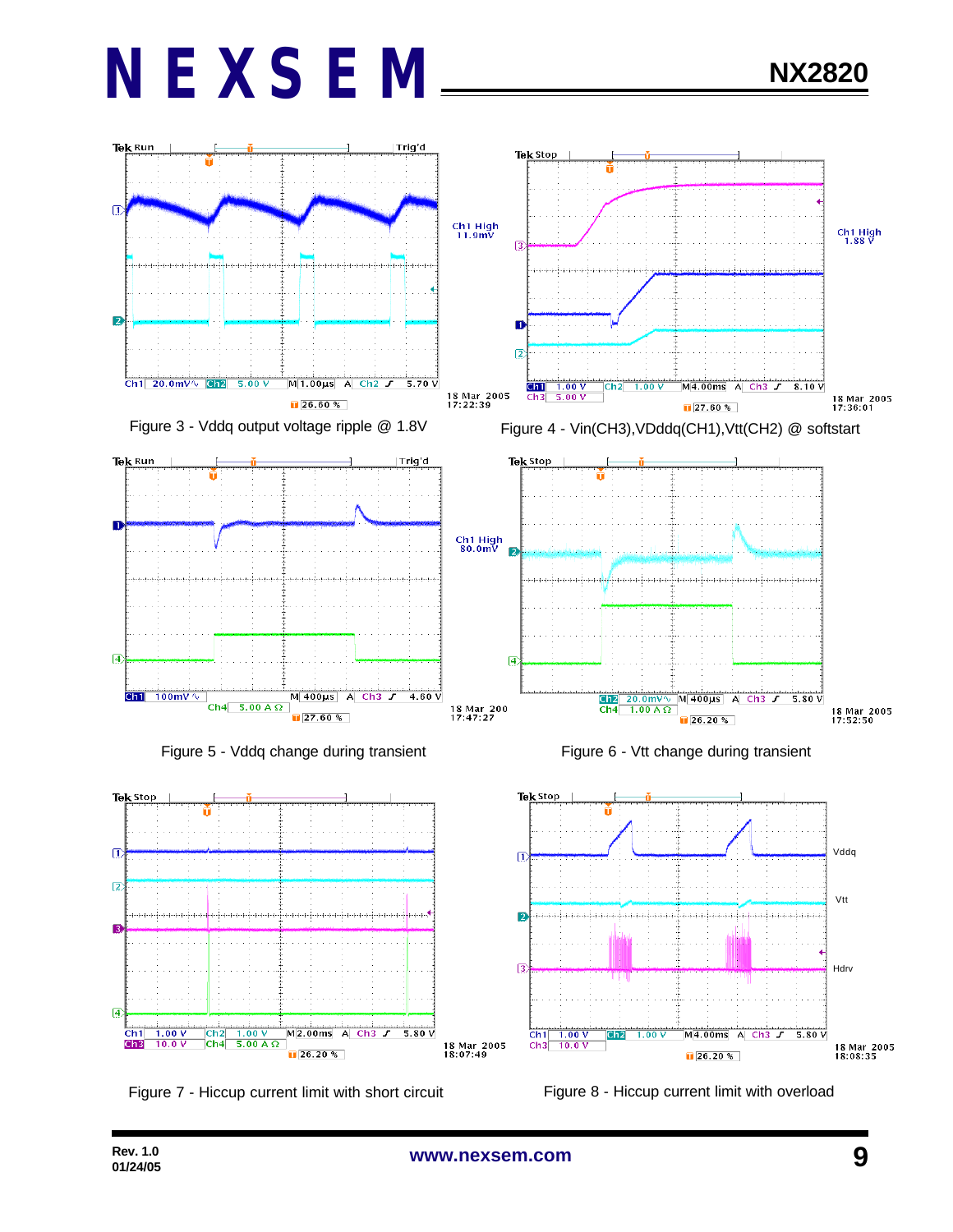







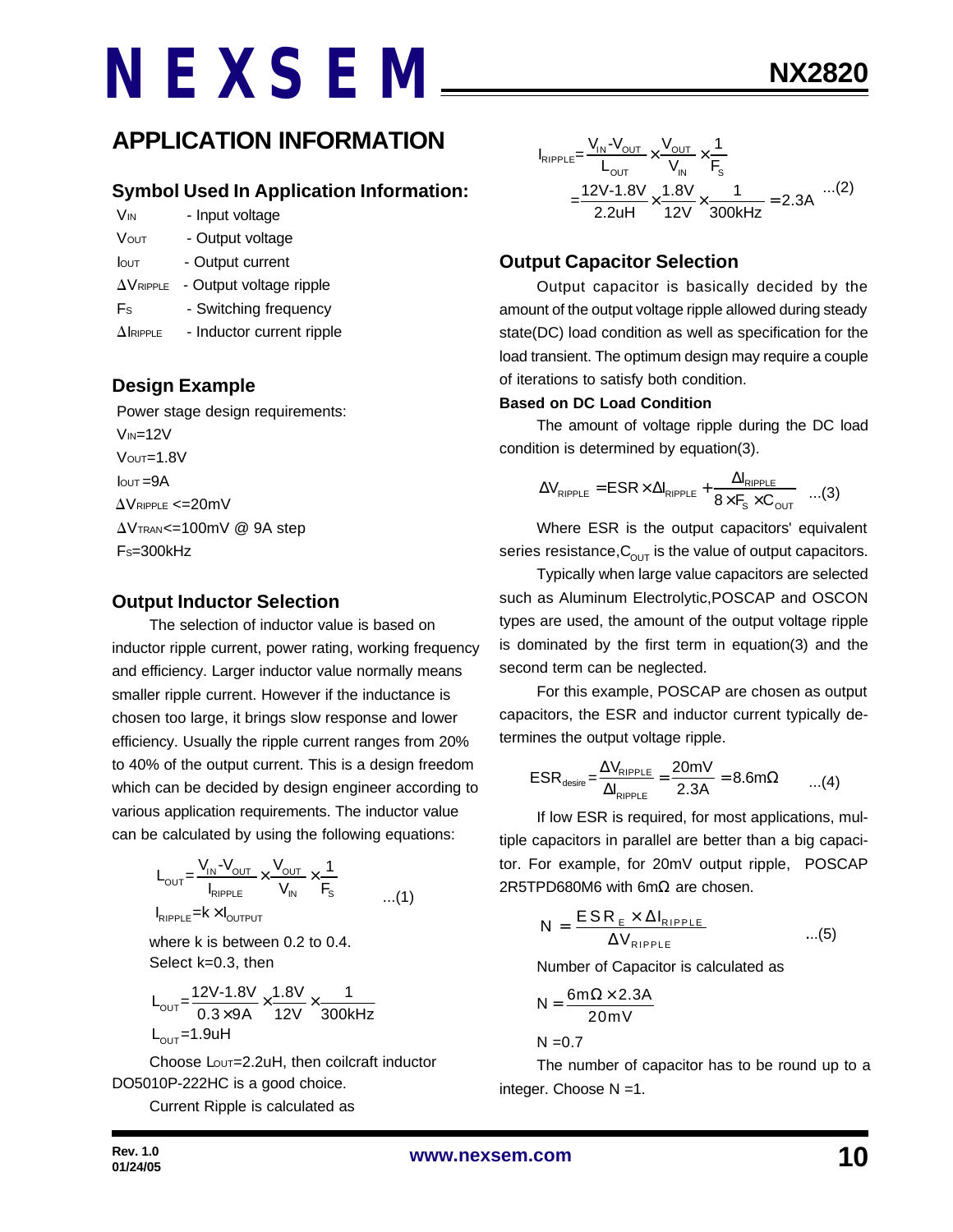#### **Symbol Used In Application Information:**

- V<sub>IN</sub> Input voltage
- VOUT Output voltage
- Iout Output current
- $\Delta V_{RIPPLE}$  Output voltage ripple
- Fs Switching frequency
- $\Delta$ IRIPPLE Inductor current ripple

#### **Design Example**

 Power stage design requirements:  $V_{IN}=12V$  VOUT=1.8V  $I<sub>OUT</sub> = 9A$  $\Delta$ VRIPPLE <=20mV  $\Delta V$ TRAN<=100mV @ 9A step  $Fs = 300kHz$ 

#### **Output Inductor Selection**

The selection of inductor value is based on inductor ripple current, power rating, working frequency and efficiency. Larger inductor value normally means smaller ripple current. However if the inductance is chosen too large, it brings slow response and lower efficiency. Usually the ripple current ranges from 20% to 40% of the output current. This is a design freedom which can be decided by design engineer according to various application requirements. The inductor value can be calculated by using the following equations:

$$
L_{\text{OUT}} = \frac{V_{\text{IN}} - V_{\text{OUT}}}{I_{\text{RIPPLE}}} \times \frac{V_{\text{OUT}}}{V_{\text{IN}}} \times \frac{1}{F_{\text{S}}}
$$
...(1)

where k is between 0.2 to 0.4. Select k=0.3, then

$$
L_{\text{OUT}} = \frac{12V - 1.8V}{0.3 \times 9A} \times \frac{1.8V}{12V} \times \frac{1}{300kHz}
$$
  
L\_{\text{OUT}} = 1.9uH

Choose Lout=2.2uH, then coilcraft inductor DO5010P-222HC is a good choice.

Current Ripple is calculated as

$$
I_{RIPPLE} = \frac{V_{IN} - V_{OUT}}{L_{OUT}} \times \frac{V_{OUT}}{V_{IN}} \times \frac{1}{F_s}
$$
  
= 
$$
\frac{12V - 1.8V}{2.2uH} \times \frac{1.8V}{12V} \times \frac{1}{300kHz} = 2.3A
$$
...(2)

#### **Output Capacitor Selection**

Output capacitor is basically decided by the amount of the output voltage ripple allowed during steady state(DC) load condition as well as specification for the load transient. The optimum design may require a couple of iterations to satisfy both condition.

#### **Based on DC Load Condition**

The amount of voltage ripple during the DC load condition is determined by equation(3).

$$
\Delta V_{\text{RIPPLE}} = \text{ESR} \times \Delta I_{\text{RIPPLE}} + \frac{\Delta I_{\text{RIPPLE}}}{8 \times F_s \times C_{\text{OUT}}} \quad ...(3)
$$

Where ESR is the output capacitors' equivalent series resistance,  $C_{\text{OUT}}$  is the value of output capacitors.

Typically when large value capacitors are selected such as Aluminum Electrolytic,POSCAP and OSCON types are used, the amount of the output voltage ripple is dominated by the first term in equation(3) and the second term can be neglected.

For this example, POSCAP are chosen as output capacitors, the ESR and inductor current typically determines the output voltage ripple.

$$
ESR_{\text{desire}} = \frac{\Delta V_{\text{RIPPLE}}}{\Delta I_{\text{RIPPLE}}} = \frac{20 \text{mV}}{2.3 \text{A}} = 8.6 \text{m}\Omega \qquad ...(4)
$$

If low ESR is required, for most applications, multiple capacitors in parallel are better than a big capacitor. For example, for 20mV output ripple, POSCAP 2R5TPD680M6 with 6mΩ are chosen.

$$
N = \frac{ESR_{E} \times \Delta I_{RIPPLE}}{\Delta V_{RIPPLE}} \qquad ...(5)
$$

Number of Capacitor is calculated as

$$
N = \frac{6m\Omega \times 2.3A}{20mV}
$$

 $N = 0.7$ 

The number of capacitor has to be round up to a integer. Choose N =1.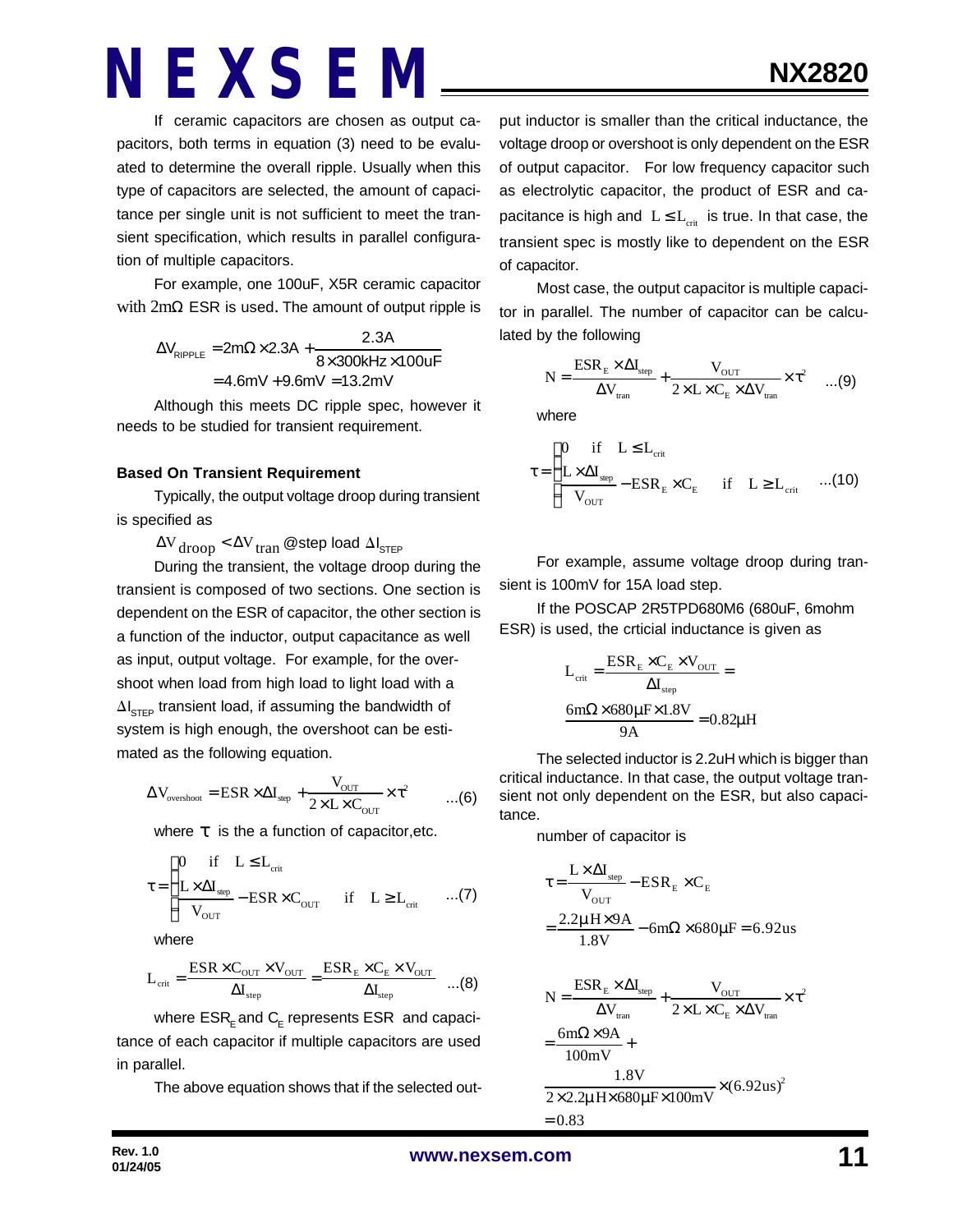If ceramic capacitors are chosen as output capacitors, both terms in equation (3) need to be evaluated to determine the overall ripple. Usually when this type of capacitors are selected, the amount of capacitance per single unit is not sufficient to meet the transient specification, which results in parallel configuration of multiple capacitors.

For example, one 100uF, X5R ceramic capacitor with  $2mΩ$  ESR is used. The amount of output ripple is

> $\Delta V_{\text{pippE}} = 2m\Omega \times 2.3A +$  $V_{\text{RIPPLE}} = 2 \text{m}\Omega \times 2.3 \text{A} + \frac{2.3 \text{A}}{8 \times 300 \text{kHz}}$  $= 4.6$ mV  $+9.6$ mV  $= 13.2$ mV  $8\times 300$ kHz $\times 100$ uF

Although this meets DC ripple spec, however it needs to be studied for transient requirement.

#### **Based On Transient Requirement**

Typically, the output voltage droop during transient is specified as

 $\Delta V_{\rm drop} < \Delta V_{\rm tran}$  @step load  $\Delta I_{\rm STEP}$ 

During the transient, the voltage droop during the transient is composed of two sections. One section is dependent on the ESR of capacitor, the other section is a function of the inductor, output capacitance as well as input, output voltage. For example, for the overshoot when load from high load to light load with a  $\Delta I_{\text{STEP}}$  transient load, if assuming the bandwidth of system is high enough, the overshoot can be estimated as the following equation.

$$
\Delta V_{\text{overshoot}} = \text{ESR} \times \Delta I_{\text{step}} + \frac{V_{\text{OUT}}}{2 \times L \times C_{\text{OUT}}} \times \tau^2 \qquad \dots (6)
$$

where *t* is the a function of capacitor,etc.

$$
\tau = \begin{cases}\n0 & \text{if} \quad L \leq L_{\text{crit}} \\
\frac{L \times \Delta I_{\text{sep}}}{V_{\text{OUT}}} - \text{ESR} \times C_{\text{OUT}} & \text{if} \quad L \geq L_{\text{crit}} \quad \dots (7)\n\end{cases}
$$

where

$$
L_{\text{crit}} = \frac{\text{ESR} \times C_{\text{OUT}} \times V_{\text{OUT}}}{\Delta I_{\text{step}}} = \frac{\text{ESR}_{\text{E}} \times C_{\text{E}} \times V_{\text{OUT}}}{\Delta I_{\text{step}}} \quad ...(8)
$$

where  $\mathsf{ESR}_\mathsf{E}$  and  $\mathsf{C}_\mathsf{E}$  represents  $\mathsf{ESR}\;$  and capacitance of each capacitor if multiple capacitors are used in parallel.

The above equation shows that if the selected out-

put inductor is smaller than the critical inductance, the voltage droop or overshoot is only dependent on the ESR of output capacitor. For low frequency capacitor such as electrolytic capacitor, the product of ESR and capacitance is high and  $L \leq L_{crit}$  is true. In that case, the transient spec is mostly like to dependent on the ESR of capacitor.

Most case, the output capacitor is multiple capacitor in parallel. The number of capacitor can be calculated by the following

$$
N = \frac{ESR_{E} \times \Delta I_{\text{step}}}{\Delta V_{\text{tran}}} + \frac{V_{\text{OUT}}}{2 \times L \times C_{E} \times \Delta V_{\text{tran}}} \times \tau^{2} \quad ...(9)
$$

where

$$
\tau = \begin{cases}\n0 & \text{if} \quad L \leq L_{\text{crit}} \\
\frac{L \times \Delta I_{\text{step}}}{V_{\text{OUT}}} - \text{ESR}_{\text{E}} \times C_{\text{E}} & \text{if} \quad L \geq L_{\text{crit}} \quad ...(10)\n\end{cases}
$$

For example, assume voltage droop during transient is 100mV for 15A load step.

If the POSCAP 2R5TPD680M6 (680uF, 6mohm ESR) is used, the crticial inductance is given as

$$
L_{\text{crit}} = \frac{ESR_{\text{E}} \times C_{\text{E}} \times V_{\text{OUT}}}{\Delta I_{\text{step}}} =
$$

$$
\frac{6m\Omega \times 680\mu\text{F} \times 1.8V}{9A} = 0.82\mu\text{H}
$$

The selected inductor is 2.2uH which is bigger than critical inductance. In that case, the output voltage transient not only dependent on the ESR, but also capacitance.

number of capacitor is

$$
\tau = \frac{L \times \Delta I_{\text{step}}}{V_{\text{OUT}}} - ESR_{\text{E}} \times C_{\text{E}}
$$

$$
= \frac{2.2 \mu H \times 9A}{1.8 V} - 6m\Omega \times 680 \mu F = 6.92 \text{us}
$$

$$
N = \frac{ESR_{E} \times \Delta I_{step}}{\Delta V_{tran}} + \frac{V_{OUT}}{2 \times L \times C_{E} \times \Delta V_{tran}} \times \tau^{2}
$$

$$
= \frac{6m\Omega \times 9A}{100mV} + \frac{1.8V}{2 \times 2.2 \mu H \times 680 \mu F \times 100mV} \times (6.92us)^{2}
$$

$$
= 0.83
$$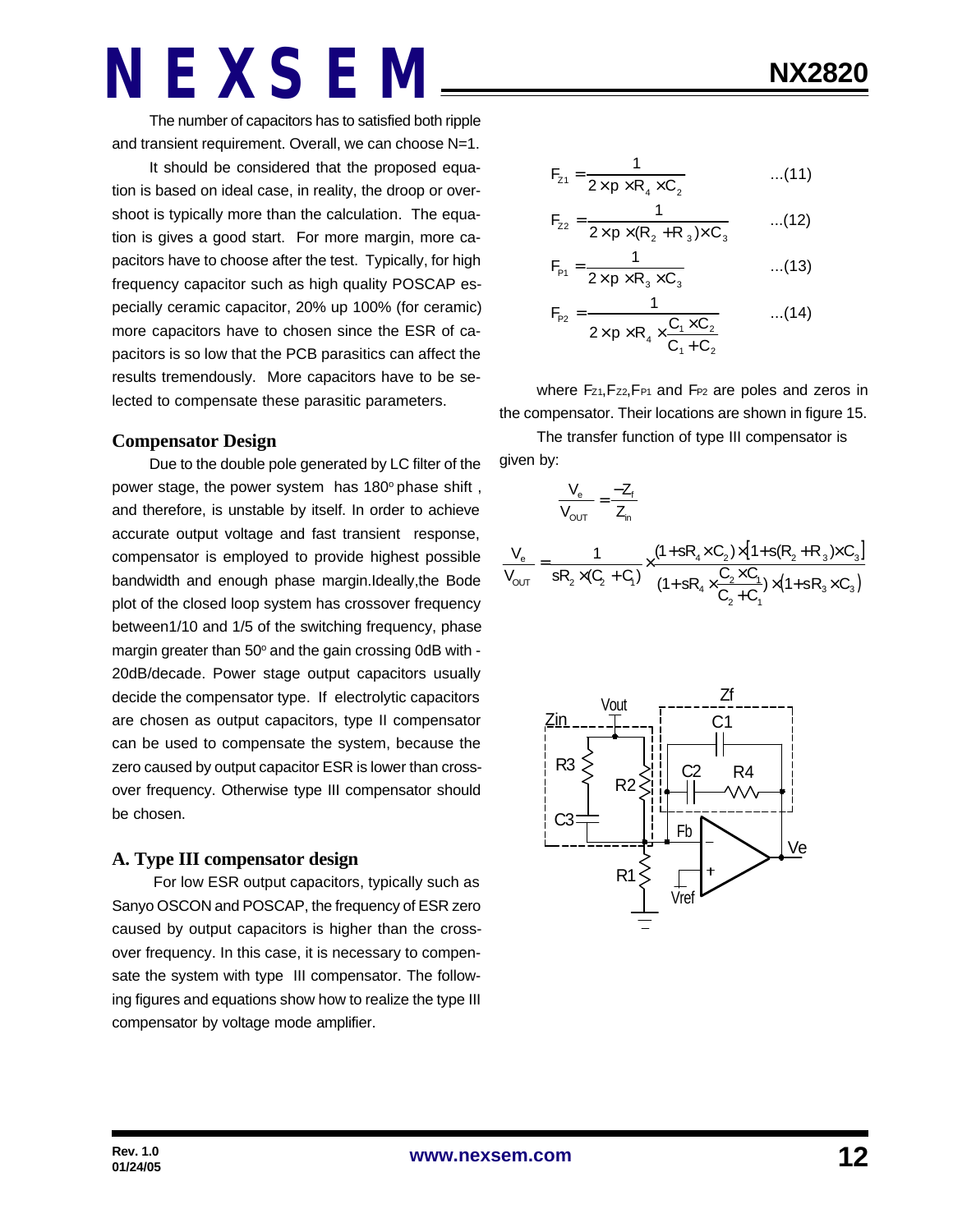The number of capacitors has to satisfied both ripple and transient requirement. Overall, we can choose N=1.

It should be considered that the proposed equation is based on ideal case, in reality, the droop or overshoot is typically more than the calculation. The equation is gives a good start. For more margin, more capacitors have to choose after the test. Typically, for high frequency capacitor such as high quality POSCAP especially ceramic capacitor, 20% up 100% (for ceramic) more capacitors have to chosen since the ESR of capacitors is so low that the PCB parasitics can affect the results tremendously. More capacitors have to be selected to compensate these parasitic parameters.

#### **Compensator Design**

Due to the double pole generated by LC filter of the power stage, the power system has 180° phase shift, and therefore, is unstable by itself. In order to achieve accurate output voltage and fast transient response, compensator is employed to provide highest possible bandwidth and enough phase margin.Ideally,the Bode plot of the closed loop system has crossover frequency between1/10 and 1/5 of the switching frequency, phase margin greater than 50° and the gain crossing 0dB with -20dB/decade. Power stage output capacitors usually decide the compensator type. If electrolytic capacitors are chosen as output capacitors, type II compensator can be used to compensate the system, because the zero caused by output capacitor ESR is lower than crossover frequency. Otherwise type III compensator should be chosen.

#### **A. Type III compensator design**

 For low ESR output capacitors, typically such as Sanyo OSCON and POSCAP, the frequency of ESR zero caused by output capacitors is higher than the crossover frequency. In this case, it is necessary to compensate the system with type III compensator. The following figures and equations show how to realize the type III compensator by voltage mode amplifier.

$$
F_{z1} = \frac{1}{2 \times p \times R_4 \times C_2}
$$
...(11)

$$
F_{z2} = \frac{1}{2 \times p \times (R_2 + R_3) \times C_3}
$$
...(12)

$$
F_{p_1} = \frac{1}{2 \times p \times R_3 \times C_3}
$$
...(13)

$$
F_{P2} = \frac{1}{2 \times p \times R_4 \times \frac{C_1 \times C_2}{C_1 + C_2}}
$$
...(14)

where  $F_{Z1}F_{Z2}F_{P1}$  and  $F_{P2}$  are poles and zeros in the compensator. Their locations are shown in figure 15.

The transfer function of type III compensator is given by:

$$
\frac{V_e}{V_{OUT}} = \frac{-Z_f}{Z_n}
$$
\n
$$
\frac{V_e}{V_{OUT}} = \frac{1}{sR_2 \times (C_2 + C_1)} \times \frac{(1 + sR_4 \times C_2) \times [1 + s(R_2 + R_3) \times C_3]}{(1 + sR_4 \times \frac{C_2 \times C_1}{C_2 + C_1}) \times (1 + sR_3 \times C_3)}
$$

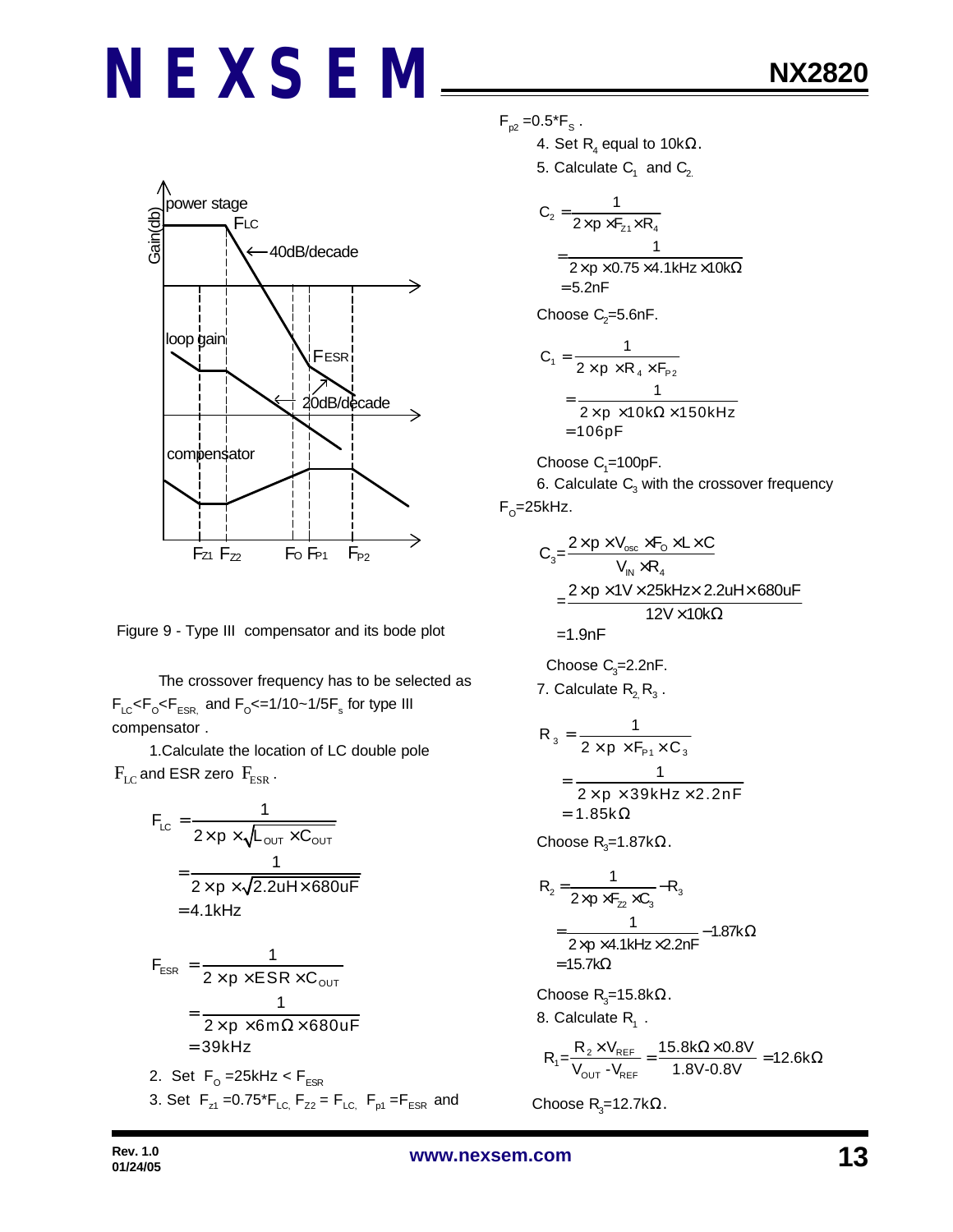

Figure 9 - Type III compensator and its bode plot

 The crossover frequency has to be selected as  $F_{LC}$ < $F_{\rm o}$ < $F_{ESR}$  and  $F_{\rm o}$ <=1/10~1/5 $F_{\rm s}$  for type III compensator .

1.Calculate the location of LC double pole  $F_{LC}$  and ESR zero  $F_{ESR}$ .

$$
F_{LC} = \frac{1}{2 \times p \times \sqrt{L_{OUT} \times C_{OUT}}}
$$
  
= 
$$
\frac{1}{2 \times p \times \sqrt{2.2uH \times 680uF}}
$$
  
= 4.1kHz

$$
F_{ESR} = \frac{1}{2 \times p \times ESR \times C_{OUT}}
$$
  
= 
$$
\frac{1}{2 \times p \times 6m\Omega \times 680uF}
$$
  
= 39kHz

2. Set F<sub>o</sub>=25kHz<F<sub>ESR</sub> 3. Set  $F_{z1} = 0.75 \cdot F_{LC}$ ,  $F_{z2} = F_{LC}$ ,  $F_{p1} = F_{ESR}$  and  $F_{p2} = 0.5$ \* $F_{s}$ .

4. Set  $\mathsf{R}_{\scriptscriptstyle 4}$  equal to 10k $\Omega$ .

5. Calculate  $\mathsf{C}_1^{\phantom{\dag}}$  and  $\mathsf{C}_2^{\phantom{\dag}}$ 

$$
C_2 = \frac{1}{2 \times p \times F_{z1} \times R_4}
$$
  
= 
$$
\frac{1}{2 \times p \times 0.75 \times 4.1 \text{kHz} \times 10 \text{k}\Omega}
$$
  
= 5.2nF

Choose  $\mathrm{C}_2$ =5.6nF.

$$
C_1 = \frac{1}{2 \times p \times R_4 \times F_{p_2}}
$$
  
= 
$$
\frac{1}{2 \times p \times 10k\Omega \times 150kHz}
$$
  
= 106pF

 $Choose C<sub>1</sub>=100pF.$ 

6. Calculate  $\mathsf{C}_{\scriptscriptstyle{3}}$  with the crossover frequency F<sub>o</sub>=25kHz.

$$
C_{3} = \frac{2 \times p \times V_{osc} \times F_{o} \times L \times C}{V_{IN} \times R_{4}}
$$
  
= 
$$
\frac{2 \times p \times 1 \times 25kHz \times 2.2uH \times 680uF}{12V \times 10k\Omega}
$$
  
= 1.9nF

Choose  $C_3 = 2.2nF$ . 7. Calculate  $\mathsf{R}_{\mathsf{2}\mathsf{}}\,\mathsf{R}_{\mathsf{3}}$  .

$$
R_3 = \frac{1}{2 \times p \times F_{p_1} \times C_3}
$$
  
= 
$$
\frac{1}{2 \times p \times 39kHz \times 2.2nF}
$$
  
= 1.85k $\Omega$ 

Choose R<sub>3</sub>=1.87k $\Omega$ .

$$
R_{2} = \frac{1}{2\times p\times F_{22}\times C_{3}} - R_{3}
$$
  
= 
$$
\frac{1}{2\times p\times 4.1kHz\times 2.2nF} - 1.87k\Omega
$$
  
= 15.7k $\Omega$ 

Choose R<sub>3</sub>=15.8kΩ. 8. Calculate  $R_1$ .

$$
R_1 = \frac{R_2 \times V_{REF}}{V_{OUT} - V_{REF}} = \frac{15.8 k\Omega \times 0.8 V}{1.8 V - 0.8 V} = 12.6 k\Omega
$$

Choose  $R$ <sub>3</sub>=12.7kΩ.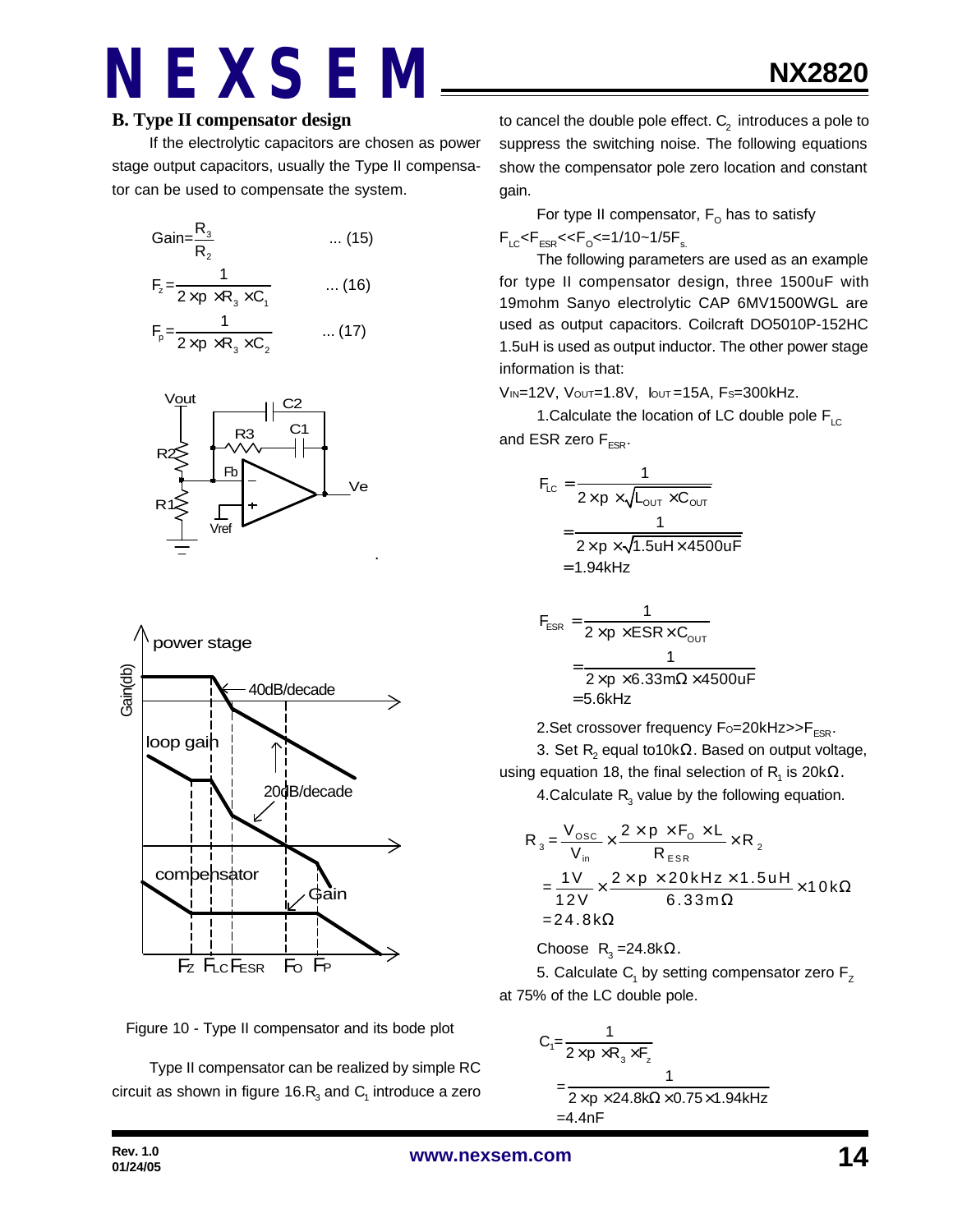If the electrolytic capacitors are chosen as power stage output capacitors, usually the Type II compensator can be used to compensate the system.

Gain=
$$
\frac{R_3}{R_2}
$$
 ... (15)  
\n
$$
F_z = \frac{1}{2 \times p \times R_3 \times C_1}
$$
 ... (16)  
\n
$$
F_p = \frac{1}{2 \times p \times R_3 \times C_2}
$$
 ... (17)







Type II compensator can be realized by simple RC circuit as shown in figure 16. $\mathsf{R}_{_{\!3}}$  and  $\mathsf{C}_{_{\!1}}$  introduce a zero

to cancel the double pole effect.  $\mathsf{C}_2^{\phantom{\prime}}$  introduces a pole to suppress the switching noise. The following equations show the compensator pole zero location and constant gain.

For type II compensator,  $\mathsf{F}_\mathsf{O}$  has to satisfy  $F_{LC}$ < $F_{ESR}$ << $F_{O}$ <=1/10~1/5 $F_{s.}$ 

The following parameters are used as an example for type II compensator design, three 1500uF with 19mohm Sanyo electrolytic CAP 6MV1500WGL are used as output capacitors. Coilcraft DO5010P-152HC 1.5uH is used as output inductor. The other power stage information is that:

VIN=12V, VOUT=1.8V, IOUT =15A, FS=300kHz.

1. Calculate the location of LC double pole  $F_{\text{LC}}$ and ESR zero  $F_{ESR}$ .

$$
F_{LC} = \frac{1}{2 \times p \times \sqrt{L_{OUT} \times C_{OUT}}}
$$
  
= 
$$
\frac{1}{2 \times p \times \sqrt{1.5uH \times 4500uF}}
$$
  
= 1.94kHz

$$
F_{ESR} = \frac{1}{2 \times p \times ESR \times C_{OUT}}
$$

$$
= \frac{1}{2 \times p \times 6.33 \text{ m}\Omega \times 4500 \text{ uF}}
$$

$$
= 5.6 \text{kHz}
$$

2. Set crossover frequency  $F_0 = 20k$ Hz $>>$ F<sub>ESR</sub>.

3. Set  $\mathsf{R}_{\mathsf{2}}$  equal to10k $\Omega.$  Based on output voltage, using equation 18, the final selection of  $\mathsf{R}_{\mathsf{1}}$  is 20k $\Omega.$ 

4.Calculate  $R_3$  value by the following equation.

$$
R_{3} = \frac{V_{\text{osc}}}{V_{\text{in}}} \times \frac{2 \times p \times F_{\text{o}} \times L}{R_{\text{ESR}}} \times R_{2}
$$
  
= 
$$
\frac{1V}{12V} \times \frac{2 \times p \times 20 \text{kHz} \times 1.5 \text{uH}}{6.33 \text{m}\Omega} \times 10 \text{k}\Omega
$$
  
= 24.8 k\Omega

Choose  $R_3 = 24.8$ k $\Omega$ .

5. Calculate  $\mathsf{C}_\mathsf{1}$  by setting compensator zero  $\mathsf{F}_\mathsf{Z}$ at 75% of the LC double pole.

$$
C_1 = \frac{1}{2 \times p \times R_3 \times F_z}
$$
  
= 
$$
\frac{1}{2 \times p \times 24.8k\Omega \times 0.75 \times 1.94kHz}
$$
  
= 4.4nF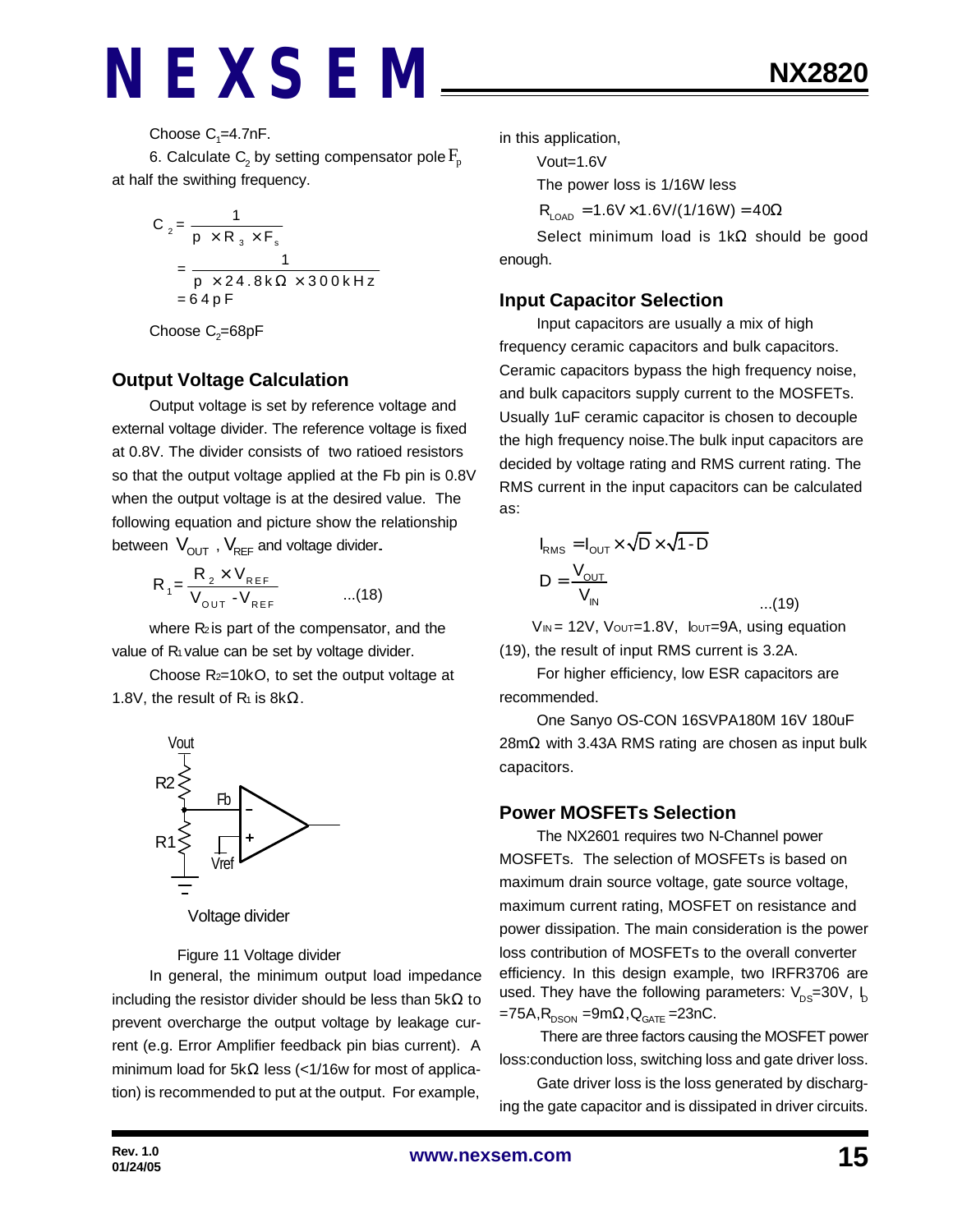Choose  $C_1 = 4.7$ nF.

6. Calculate  $\mathsf{C}_\text{2}$  by setting compensator pole  $\mathrm{F}_{\text{p}}$ at half the swithing frequency.

$$
C_2 = \frac{1}{p \times R_3 \times F_s}
$$
  
= 
$$
\frac{1}{p \times 24.8 \times \Omega \times 300 \times Hz}
$$
  
= 64 pF

Choose  $\mathrm{C}_2$ =68pF

#### **Output Voltage Calculation**

Output voltage is set by reference voltage and external voltage divider. The reference voltage is fixed at 0.8V. The divider consists of two ratioed resistors so that the output voltage applied at the Fb pin is 0.8V when the output voltage is at the desired value. The following equation and picture show the relationship between  $V_{\text{OUT}}$ ,  $V_{\text{REF}}$  and voltage divider.

$$
R_{1} = \frac{R_{2} \times V_{REF}}{V_{OUT} - V_{REF}} \qquad ...(18)
$$

where  $R_2$  is part of the compensator, and the value of  $R_1$  value can be set by voltage divider.

Choose R2=10kO, to set the output voltage at 1.8V, the result of  $R_1$  is 8k $\Omega$ .



Voltage divider

Figure 11 Voltage divider

In general, the minimum output load impedance including the resistor divider should be less than  $5k\Omega$  to prevent overcharge the output voltage by leakage current (e.g. Error Amplifier feedback pin bias current). A minimum load for 5kΩ less (<1/16w for most of application) is recommended to put at the output. For example,

in this application,

Vout=1.6V

The power loss is 1/16W less

 $R_{\text{LOAD}} = 1.6V \times 1.6V/(1/16W) = 40\Omega$ 

Select minimum load is 1kΩ should be good enough.

#### **Input Capacitor Selection**

Input capacitors are usually a mix of high frequency ceramic capacitors and bulk capacitors. Ceramic capacitors bypass the high frequency noise, and bulk capacitors supply current to the MOSFETs. Usually 1uF ceramic capacitor is chosen to decouple the high frequency noise.The bulk input capacitors are decided by voltage rating and RMS current rating. The RMS current in the input capacitors can be calculated as:

$$
I_{\text{RMS}} = I_{\text{OUT}} \times \sqrt{D} \times \sqrt{1 - D}
$$

$$
D = \frac{V_{\text{OUT}}}{V_{\text{IN}}}
$$

 $V_{IN}$  = 12V,  $V_{OUT}=1.8V$ ,  $I_{OUT}=9A$ , using equation (19), the result of input RMS current is 3.2A.

...(19)

For higher efficiency, low ESR capacitors are recommended.

One Sanyo OS-CON 16SVPA180M 16V 180uF 28mΩ with 3.43A RMS rating are chosen as input bulk capacitors.

#### **Power MOSFETs Selection**

The NX2601 requires two N-Channel power MOSFETs. The selection of MOSFETs is based on maximum drain source voltage, gate source voltage, maximum current rating, MOSFET on resistance and power dissipation. The main consideration is the power loss contribution of MOSFETs to the overall converter efficiency. In this design example, two IRFR3706 are used. They have the following parameters:  $V_{DS}=30V$ ,  $I_D$ =75A, $R_{_{\rm DSON}}$  =9m $\Omega$ , $Q_{_{\rm GATE}}$  =23nC.

 There are three factors causing the MOSFET power loss:conduction loss, switching loss and gate driver loss.

Gate driver loss is the loss generated by discharging the gate capacitor and is dissipated in driver circuits.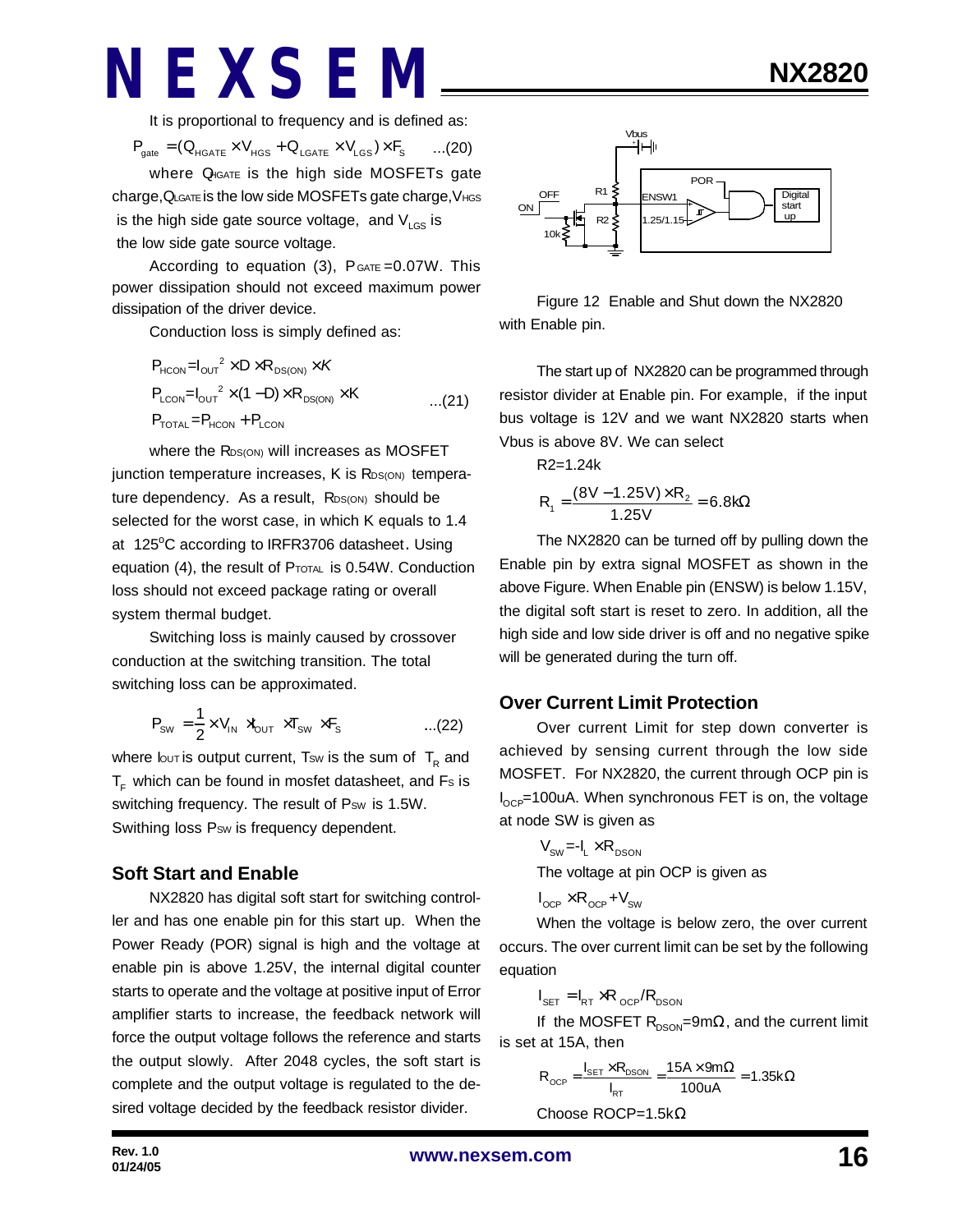It is proportional to frequency and is defined as:

$$
\boldsymbol{P}_{\text{gate}} = (Q_{\text{HGATE}} \times V_{\text{HGS}} + Q_{\text{LGATE}} \times V_{\text{LGS}}) \times \boldsymbol{F}_{\text{S}} \qquad ... (20)
$$

where Q<sub>IGATE</sub> is the high side MOSFETs gate charge,QLGATE is the low side MOSFETs gate charge,VHGS is the high side gate source voltage, and  $V_{\text{LGS}}$  is the low side gate source voltage.

According to equation  $(3)$ ,  $P_{GATE} = 0.07W$ . This power dissipation should not exceed maximum power dissipation of the driver device.

Conduction loss is simply defined as:

$$
P_{HCON} = I_{OUT}^2 \times D \times R_{DS(ON)} \times K
$$
  
\n
$$
P_{LCDN} = I_{OUT}^2 \times (1 - D) \times R_{DS(ON)} \times K
$$
...(21)  
\n
$$
P_{TOTAL} = P_{HCON} + P_{LCDN}
$$

where the RDS(ON) will increases as MOSFET junction temperature increases, K is R<sub>DS(ON)</sub> temperature dependency. As a result, RDS(ON) should be selected for the worst case, in which K equals to 1.4 at 125°C according to IRFR3706 datasheet. Using equation (4), the result of PTOTAL is 0.54W. Conduction loss should not exceed package rating or overall system thermal budget.

Switching loss is mainly caused by crossover conduction at the switching transition. The total switching loss can be approximated.

$$
P_{\text{SW}} = \frac{1}{2} \times V_{\text{IN}} \rtimes_{\text{OUT}} \times T_{\text{SW}} \times F_{\text{s}} \qquad \qquad \dots (22)
$$

where lout is output current, Tsw is the sum of  $\, {\sf T}_{\sf R} \,$  and  $T<sub>F</sub>$  which can be found in mosfet datasheet, and Fs is switching frequency. The result of Psw is 1.5W. Swithing loss P<sub>SW</sub> is frequency dependent.

#### **Soft Start and Enable**

NX2820 has digital soft start for switching controller and has one enable pin for this start up. When the Power Ready (POR) signal is high and the voltage at enable pin is above 1.25V, the internal digital counter starts to operate and the voltage at positive input of Error amplifier starts to increase, the feedback network will force the output voltage follows the reference and starts the output slowly. After 2048 cycles, the soft start is complete and the output voltage is regulated to the desired voltage decided by the feedback resistor divider.



Figure 12 Enable and Shut down the NX2820 with Enable pin.

The start up of NX2820 can be programmed through resistor divider at Enable pin. For example, if the input bus voltage is 12V and we want NX2820 starts when Vbus is above 8V. We can select

$$
R2=1.24k
$$

$$
R_1 = \frac{(8V - 1.25V) \times R_2}{1.25V} = 6.8k\Omega
$$

The NX2820 can be turned off by pulling down the Enable pin by extra signal MOSFET as shown in the above Figure. When Enable pin (ENSW) is below 1.15V, the digital soft start is reset to zero. In addition, all the high side and low side driver is off and no negative spike will be generated during the turn off.

#### **Over Current Limit Protection**

Over current Limit for step down converter is achieved by sensing current through the low side MOSFET. For NX2820, the current through OCP pin is  $I_{\text{OCP}}$ =100uA. When synchronous FET is on, the voltage at node SW is given as

$$
V_{\text{sw}} = -I_{L} \times R_{\text{DSON}}
$$
  
The voltage at pin OCP is given as

$$
I_{\text{OCP}} \times R_{\text{OCP}} + V_{\text{SW}}
$$

When the voltage is below zero, the over current occurs. The over current limit can be set by the following equation

$$
I_{\text{SET}} = I_{\text{RT}} \times R_{\text{OCP}} / R_{\text{DSON}}
$$

If the MOSFET  $R_{DSON}$ =9m $\Omega$ , and the current limit is set at 15A, then

$$
R_{OCP} = \frac{I_{SET} \times R_{DSON}}{I_{RT}} = \frac{15A \times 9m\Omega}{100uA} = 1.35k\Omega
$$

Choose ROCP=1.5kΩ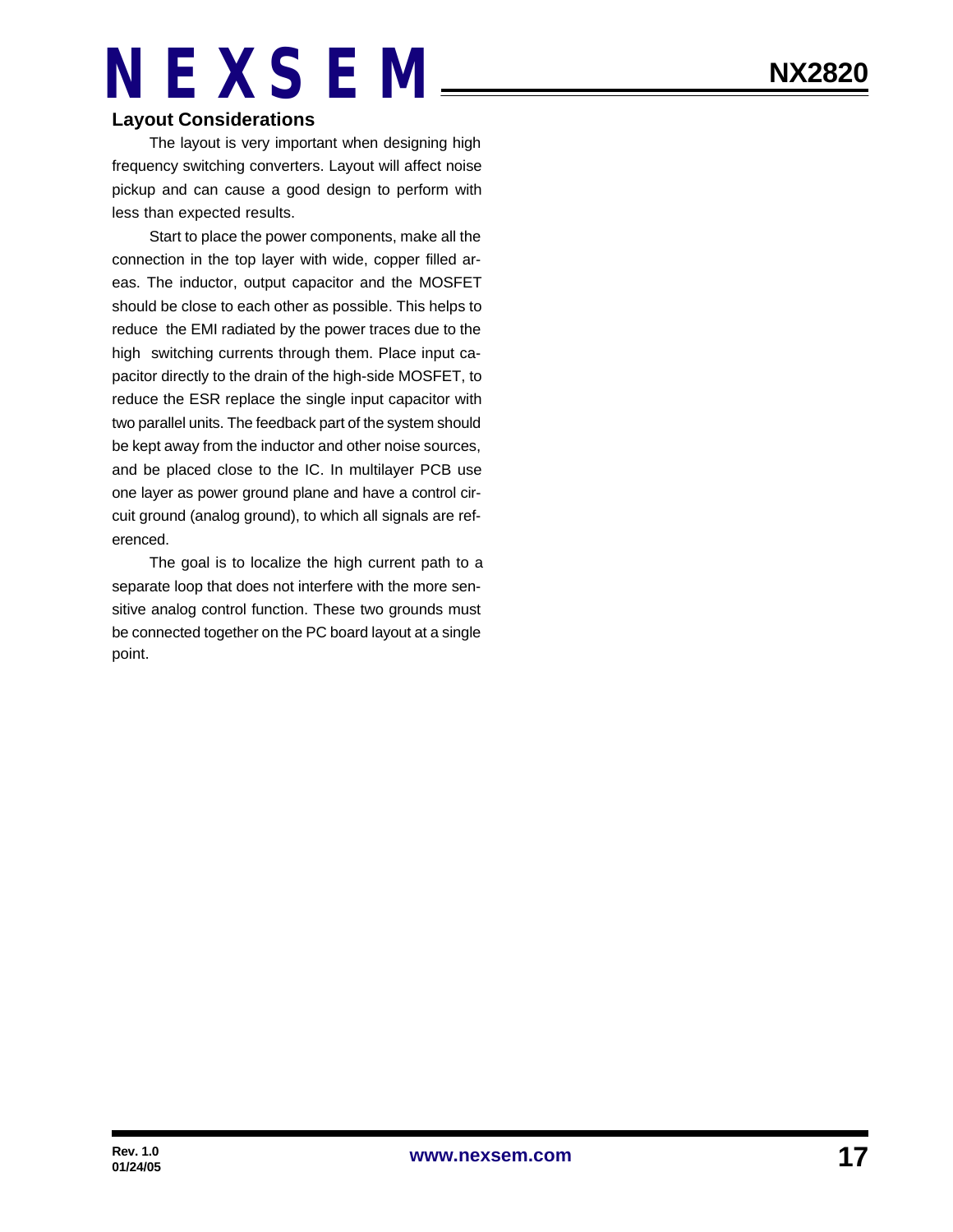#### **Layout Considerations**

The layout is very important when designing high frequency switching converters. Layout will affect noise pickup and can cause a good design to perform with less than expected results.

Start to place the power components, make all the connection in the top layer with wide, copper filled areas. The inductor, output capacitor and the MOSFET should be close to each other as possible. This helps to reduce the EMI radiated by the power traces due to the high switching currents through them. Place input capacitor directly to the drain of the high-side MOSFET, to reduce the ESR replace the single input capacitor with two parallel units. The feedback part of the system should be kept away from the inductor and other noise sources, and be placed close to the IC. In multilayer PCB use one layer as power ground plane and have a control circuit ground (analog ground), to which all signals are referenced.

The goal is to localize the high current path to a separate loop that does not interfere with the more sensitive analog control function. These two grounds must be connected together on the PC board layout at a single point.